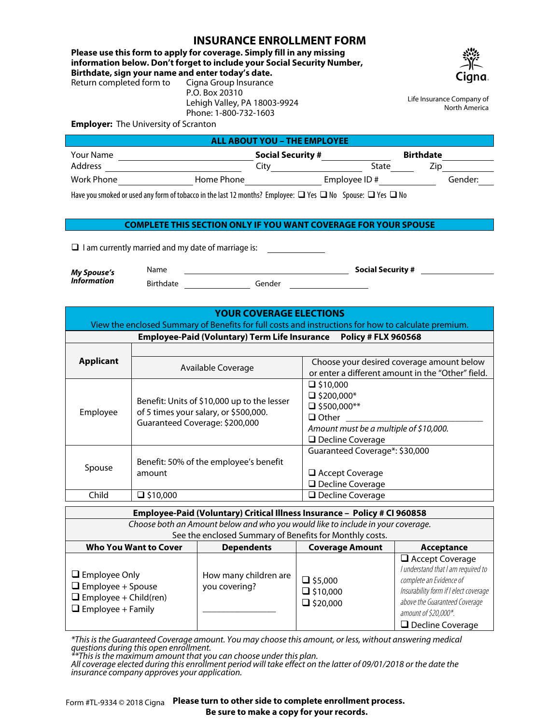## **INSURANCE ENROLLMENT FORM**

**Please use this form to apply for coverage. Simply fill in any missing information below. Don't forget to include your Social Security Number, Birthdate, sign your name and enter today's date.** Return completed form to

P.O. Box 20310



Life Insurance Company of North America

**Employer:** The University of Scranton

| ALL ABOUT YOU - THE EMPLOYEE |            |                          |                          |                  |         |  |
|------------------------------|------------|--------------------------|--------------------------|------------------|---------|--|
| <b>Your Name</b>             |            | <b>Social Security #</b> |                          | <b>Birthdate</b> |         |  |
| Address                      |            | Citv                     | State                    | Zip              |         |  |
| Work Phone                   | Home Phone |                          | Employee ID#             |                  | Gender: |  |
|                              | .          |                          | $\overline{\phantom{a}}$ |                  |         |  |

Have you smoked or used any form of tobacco in the last 12 months? Employee:  $\Box$  Yes  $\Box$  No Spouse:  $\Box$  Yes  $\Box$  No

Lehigh Valley, PA 18003-9924 Phone: 1-800-732-1603

## **COMPLETE THIS SECTION ONLY IF YOU WANT COVERAGE FOR YOUR SPOUSE**

 $\Box$  I am currently married and my date of marriage is:

*My Spouse's Information*

Birthdate Gender

# **YOUR COVERAGE ELECTIONS**

Name **Social Security #**

View the enclosed Summary of Benefits for full costs and instructions for how to calculate premium.

**Employee-Paid (Voluntary) Term Life Insurance Policy # FLX 960568**

| <b>Applicant</b> | Available Coverage                                                                                                     | Choose your desired coverage amount below<br>or enter a different amount in the "Other" field.                                                  |  |  |
|------------------|------------------------------------------------------------------------------------------------------------------------|-------------------------------------------------------------------------------------------------------------------------------------------------|--|--|
| Employee         | Benefit: Units of \$10,000 up to the lesser<br>of 5 times your salary, or \$500,000.<br>Guaranteed Coverage: \$200,000 | $\Box$ \$10,000<br>$\Box$ \$200,000*<br>$\Box$ \$500,000**<br>$\Box$ Other<br>Amount must be a multiple of \$10,000.<br>$\Box$ Decline Coverage |  |  |
| Spouse           | Benefit: 50% of the employee's benefit<br>amount                                                                       | Guaranteed Coverage*: \$30,000<br>$\Box$ Accept Coverage<br>□ Decline Coverage                                                                  |  |  |
| Child            | $\square$ \$10,000                                                                                                     | □ Decline Coverage                                                                                                                              |  |  |

| Employee-Paid (Voluntary) Critical Illness Insurance - Policy # CI 960858                                    |                                        |                                                      |                                                                                                                                                                                                                      |  |  |  |  |
|--------------------------------------------------------------------------------------------------------------|----------------------------------------|------------------------------------------------------|----------------------------------------------------------------------------------------------------------------------------------------------------------------------------------------------------------------------|--|--|--|--|
| Choose both an Amount below and who you would like to include in your coverage.                              |                                        |                                                      |                                                                                                                                                                                                                      |  |  |  |  |
| See the enclosed Summary of Benefits for Monthly costs.                                                      |                                        |                                                      |                                                                                                                                                                                                                      |  |  |  |  |
| <b>Who You Want to Cover</b>                                                                                 | <b>Dependents</b>                      | <b>Coverage Amount</b>                               | Acceptance                                                                                                                                                                                                           |  |  |  |  |
| $\Box$ Employee Only<br>$\Box$ Employee + Spouse<br>$\Box$ Employee + Child(ren)<br>$\Box$ Employee + Family | How many children are<br>you covering? | $\Box$ \$5,000<br>$\Box$ \$10,000<br>$\Box$ \$20,000 | $\Box$ Accept Coverage<br>I understand that I am required to<br>complete an Evidence of<br>Insurability form if I elect coverage<br>above the Guaranteed Coverage<br>amount of \$20,000*.<br>$\Box$ Decline Coverage |  |  |  |  |

*\*This is the Guaranteed Coverage amount. You may choose this amount, or less, without answering medical questions during this open enrollment.*

*\*\*This is the maximum amount that you can choose under this plan.*

*All coverage elected during this enrollment period will take effect on the latter of 09/01/2018 or the date the insurance company approves your application.*

Form #TL-9334 © 2018 Cigna **Please turn to other side to complete enrollment process. Be sure to make a copy for your records.**